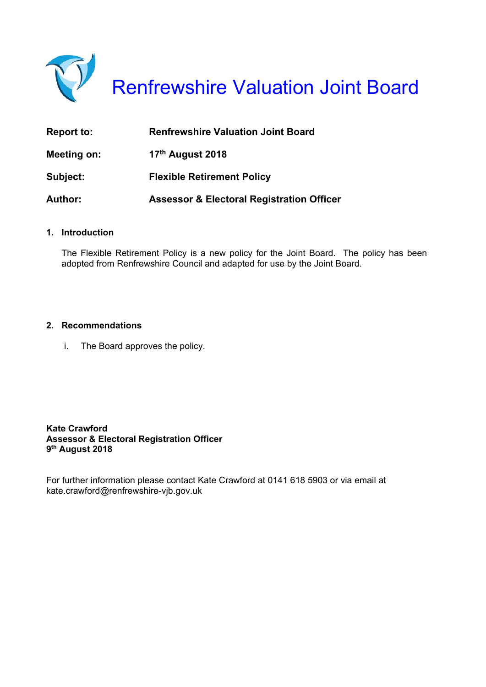

Renfrewshire Valuation Joint Board

| <b>Report to:</b> | <b>Renfrewshire Valuation Joint Board</b>            |
|-------------------|------------------------------------------------------|
| Meeting on:       | 17 <sup>th</sup> August 2018                         |
| Subject:          | <b>Flexible Retirement Policy</b>                    |
| <b>Author:</b>    | <b>Assessor &amp; Electoral Registration Officer</b> |

#### **1. Introduction**

The Flexible Retirement Policy is a new policy for the Joint Board. The policy has been adopted from Renfrewshire Council and adapted for use by the Joint Board.

#### **2. Recommendations**

i. The Board approves the policy.

**Kate Crawford Assessor & Electoral Registration Officer 9th August 2018** 

For further information please contact Kate Crawford at 0141 618 5903 or via email at kate.crawford@renfrewshire-vjb.gov.uk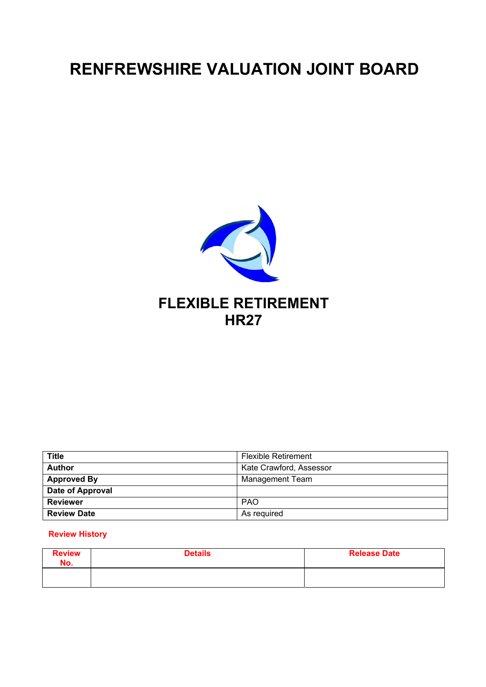# **RENFREWSHIRE VALUATION JOINT BOARD**



| <b>Title</b>       | <b>Flexible Retirement</b> |
|--------------------|----------------------------|
| <b>Author</b>      | Kate Crawford, Assessor    |
| <b>Approved By</b> | <b>Management Team</b>     |
| Date of Approval   |                            |
| <b>Reviewer</b>    | <b>PAO</b>                 |
| <b>Review Date</b> | As required                |

#### **Review History**

| <b>Review</b><br>No. | <b>Details</b> | <b>Release Date</b> |
|----------------------|----------------|---------------------|
|                      |                |                     |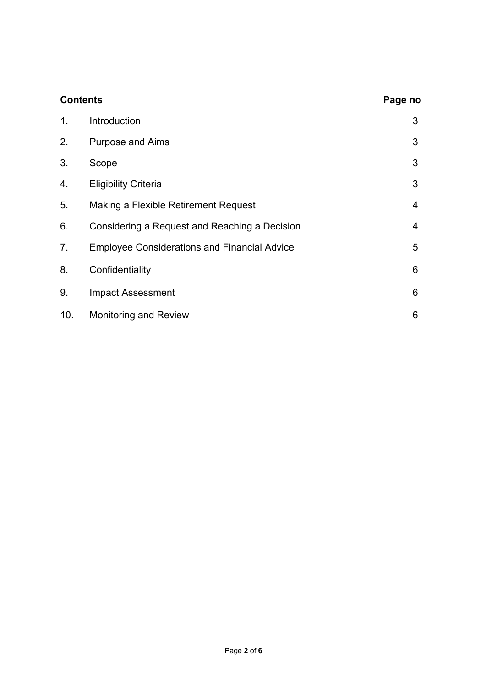| <b>Contents</b> |                                                     | Page no |
|-----------------|-----------------------------------------------------|---------|
| 1.              | Introduction                                        | 3       |
| 2.              | <b>Purpose and Aims</b>                             | 3       |
| 3.              | Scope                                               | 3       |
| 4.              | <b>Eligibility Criteria</b>                         | 3       |
| 5.              | Making a Flexible Retirement Request                | 4       |
| 6.              | Considering a Request and Reaching a Decision       | 4       |
| 7.              | <b>Employee Considerations and Financial Advice</b> | 5       |
| 8.              | Confidentiality                                     | 6       |
| 9.              | <b>Impact Assessment</b>                            | 6       |
| 10.             | <b>Monitoring and Review</b>                        | 6       |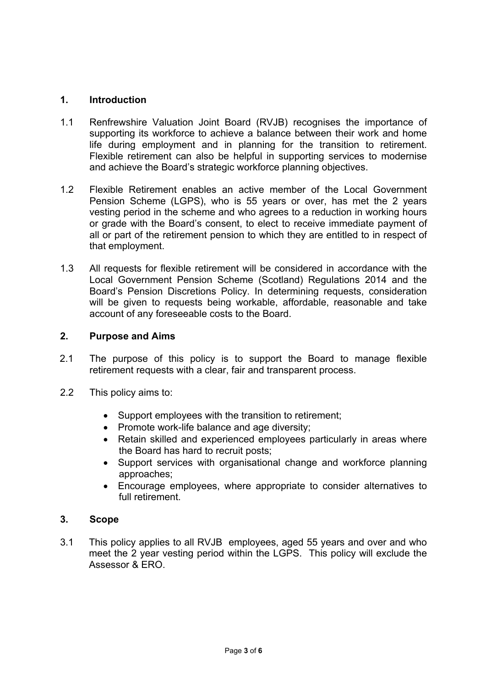# **1. Introduction**

- 1.1 Renfrewshire Valuation Joint Board (RVJB) recognises the importance of supporting its workforce to achieve a balance between their work and home life during employment and in planning for the transition to retirement. Flexible retirement can also be helpful in supporting services to modernise and achieve the Board's strategic workforce planning objectives.
- 1.2 Flexible Retirement enables an active member of the Local Government Pension Scheme (LGPS), who is 55 years or over, has met the 2 years vesting period in the scheme and who agrees to a reduction in working hours or grade with the Board's consent, to elect to receive immediate payment of all or part of the retirement pension to which they are entitled to in respect of that employment.
- 1.3 All requests for flexible retirement will be considered in accordance with the Local Government Pension Scheme (Scotland) Regulations 2014 and the Board's Pension Discretions Policy. In determining requests, consideration will be given to requests being workable, affordable, reasonable and take account of any foreseeable costs to the Board.

# **2. Purpose and Aims**

- 2.1 The purpose of this policy is to support the Board to manage flexible retirement requests with a clear, fair and transparent process.
- 2.2 This policy aims to:
	- Support employees with the transition to retirement;
	- Promote work-life balance and age diversity;
	- Retain skilled and experienced employees particularly in areas where the Board has hard to recruit posts;
	- Support services with organisational change and workforce planning approaches;
	- Encourage employees, where appropriate to consider alternatives to full retirement.

# **3. Scope**

3.1 This policy applies to all RVJB employees, aged 55 years and over and who meet the 2 year vesting period within the LGPS. This policy will exclude the Assessor & ERO.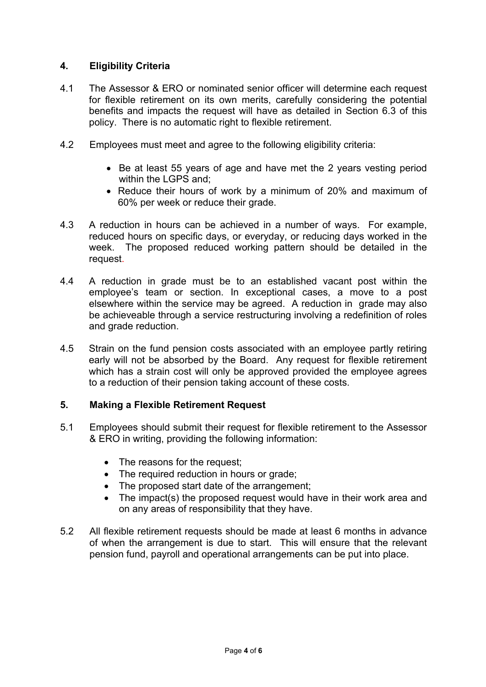# **4. Eligibility Criteria**

- 4.1 The Assessor & ERO or nominated senior officer will determine each request for flexible retirement on its own merits, carefully considering the potential benefits and impacts the request will have as detailed in Section 6.3 of this policy. There is no automatic right to flexible retirement.
- 4.2 Employees must meet and agree to the following eligibility criteria:
	- Be at least 55 years of age and have met the 2 years vesting period within the LGPS and;
	- Reduce their hours of work by a minimum of 20% and maximum of 60% per week or reduce their grade.
- 4.3 A reduction in hours can be achieved in a number of ways. For example, reduced hours on specific days, or everyday, or reducing days worked in the week. The proposed reduced working pattern should be detailed in the request.
- 4.4 A reduction in grade must be to an established vacant post within the employee's team or section. In exceptional cases, a move to a post elsewhere within the service may be agreed. A reduction in grade may also be achieveable through a service restructuring involving a redefinition of roles and grade reduction.
- 4.5 Strain on the fund pension costs associated with an employee partly retiring early will not be absorbed by the Board. Any request for flexible retirement which has a strain cost will only be approved provided the employee agrees to a reduction of their pension taking account of these costs.

# **5. Making a Flexible Retirement Request**

- 5.1 Employees should submit their request for flexible retirement to the Assessor & ERO in writing, providing the following information:
	- The reasons for the request;
	- The required reduction in hours or grade;
	- The proposed start date of the arrangement;
	- The impact(s) the proposed request would have in their work area and on any areas of responsibility that they have.
- 5.2 All flexible retirement requests should be made at least 6 months in advance of when the arrangement is due to start. This will ensure that the relevant pension fund, payroll and operational arrangements can be put into place.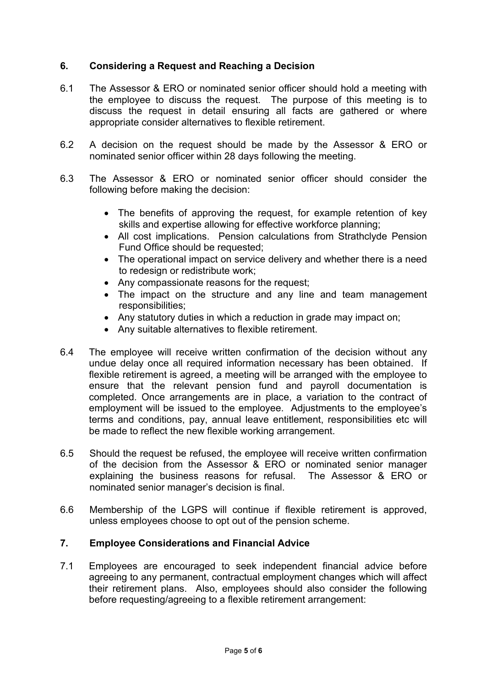# **6. Considering a Request and Reaching a Decision**

- 6.1 The Assessor & ERO or nominated senior officer should hold a meeting with the employee to discuss the request. The purpose of this meeting is to discuss the request in detail ensuring all facts are gathered or where appropriate consider alternatives to flexible retirement.
- 6.2 A decision on the request should be made by the Assessor & ERO or nominated senior officer within 28 days following the meeting.
- 6.3 The Assessor & ERO or nominated senior officer should consider the following before making the decision:
	- The benefits of approving the request, for example retention of key skills and expertise allowing for effective workforce planning;
	- All cost implications. Pension calculations from Strathclyde Pension Fund Office should be requested;
	- The operational impact on service delivery and whether there is a need to redesign or redistribute work;
	- Any compassionate reasons for the request:
	- The impact on the structure and any line and team management responsibilities;
	- Any statutory duties in which a reduction in grade may impact on;
	- Any suitable alternatives to flexible retirement.
- 6.4 The employee will receive written confirmation of the decision without any undue delay once all required information necessary has been obtained. If flexible retirement is agreed, a meeting will be arranged with the employee to ensure that the relevant pension fund and payroll documentation is completed. Once arrangements are in place, a variation to the contract of employment will be issued to the employee. Adjustments to the employee's terms and conditions, pay, annual leave entitlement, responsibilities etc will be made to reflect the new flexible working arrangement.
- 6.5 Should the request be refused, the employee will receive written confirmation of the decision from the Assessor & ERO or nominated senior manager explaining the business reasons for refusal. The Assessor & ERO or nominated senior manager's decision is final.
- 6.6 Membership of the LGPS will continue if flexible retirement is approved, unless employees choose to opt out of the pension scheme.

# **7. Employee Considerations and Financial Advice**

7.1 Employees are encouraged to seek independent financial advice before agreeing to any permanent, contractual employment changes which will affect their retirement plans. Also, employees should also consider the following before requesting/agreeing to a flexible retirement arrangement: